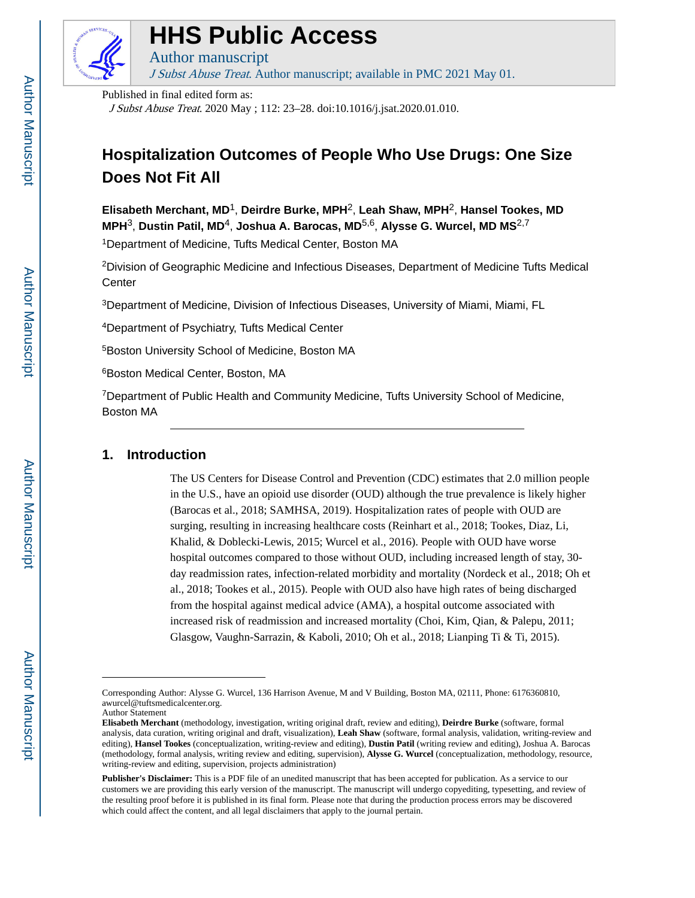

# **HHS Public Access**

J Subst Abuse Treat. Author manuscript; available in PMC 2021 May 01.

Published in final edited form as:

Author manuscript

J Subst Abuse Treat. 2020 May ; 112: 23–28. doi:10.1016/j.jsat.2020.01.010.

# **Hospitalization Outcomes of People Who Use Drugs: One Size Does Not Fit All**

**Elisabeth Merchant, MD**1, **Deirdre Burke, MPH**2, **Leah Shaw, MPH**2, **Hansel Tookes, MD MPH**3, **Dustin Patil, MD**4, **Joshua A. Barocas, MD**5,6, **Alysse G. Wurcel, MD MS**2,7

<sup>1</sup>Department of Medicine, Tufts Medical Center, Boston MA

<sup>2</sup>Division of Geographic Medicine and Infectious Diseases, Department of Medicine Tufts Medical **Center** 

<sup>3</sup>Department of Medicine, Division of Infectious Diseases, University of Miami, Miami, FL

<sup>4</sup>Department of Psychiatry, Tufts Medical Center

<sup>5</sup>Boston University School of Medicine, Boston MA

<sup>6</sup>Boston Medical Center, Boston, MA

<sup>7</sup>Department of Public Health and Community Medicine, Tufts University School of Medicine, Boston MA

# **1. Introduction**

The US Centers for Disease Control and Prevention (CDC) estimates that 2.0 million people in the U.S., have an opioid use disorder (OUD) although the true prevalence is likely higher (Barocas et al., 2018; SAMHSA, 2019). Hospitalization rates of people with OUD are surging, resulting in increasing healthcare costs (Reinhart et al., 2018; Tookes, Diaz, Li, Khalid, & Doblecki-Lewis, 2015; Wurcel et al., 2016). People with OUD have worse hospital outcomes compared to those without OUD, including increased length of stay, 30 day readmission rates, infection-related morbidity and mortality (Nordeck et al., 2018; Oh et al., 2018; Tookes et al., 2015). People with OUD also have high rates of being discharged from the hospital against medical advice (AMA), a hospital outcome associated with increased risk of readmission and increased mortality (Choi, Kim, Qian, & Palepu, 2011; Glasgow, Vaughn-Sarrazin,  $\&$  Kaboli, 2010; Oh et al., 2018; Lianping Ti  $\&$  Ti, 2015).

Author Statement

Corresponding Author: Alysse G. Wurcel, 136 Harrison Avenue, M and V Building, Boston MA, 02111, Phone: 6176360810, awurcel@tuftsmedicalcenter.org.

**Elisabeth Merchant** (methodology, investigation, writing original draft, review and editing), **Deirdre Burke** (software, formal analysis, data curation, writing original and draft, visualization), **Leah Shaw** (software, formal analysis, validation, writing-review and editing), **Hansel Tookes** (conceptualization, writing-review and editing), **Dustin Patil** (writing review and editing), Joshua A. Barocas (methodology, formal analysis, writing review and editing, supervision), **Alysse G. Wurcel** (conceptualization, methodology, resource, writing-review and editing, supervision, projects administration)

**Publisher's Disclaimer:** This is a PDF file of an unedited manuscript that has been accepted for publication. As a service to our customers we are providing this early version of the manuscript. The manuscript will undergo copyediting, typesetting, and review of the resulting proof before it is published in its final form. Please note that during the production process errors may be discovered which could affect the content, and all legal disclaimers that apply to the journal pertain.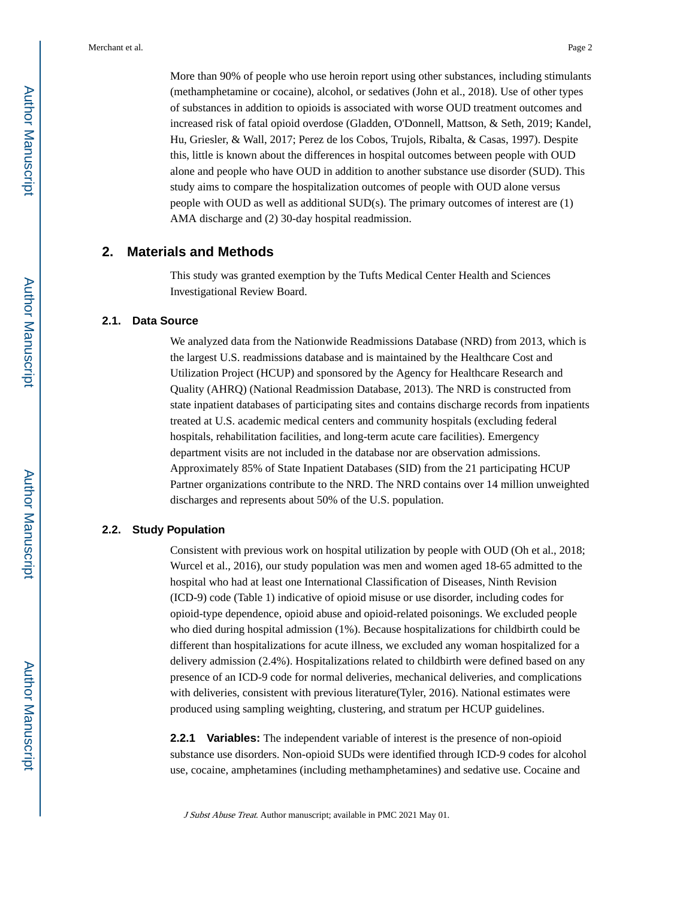More than 90% of people who use heroin report using other substances, including stimulants (methamphetamine or cocaine), alcohol, or sedatives (John et al., 2018). Use of other types of substances in addition to opioids is associated with worse OUD treatment outcomes and increased risk of fatal opioid overdose (Gladden, O'Donnell, Mattson, & Seth, 2019; Kandel, Hu, Griesler, & Wall, 2017; Perez de los Cobos, Trujols, Ribalta, & Casas, 1997). Despite this, little is known about the differences in hospital outcomes between people with OUD alone and people who have OUD in addition to another substance use disorder (SUD). This study aims to compare the hospitalization outcomes of people with OUD alone versus people with OUD as well as additional SUD(s). The primary outcomes of interest are (1) AMA discharge and (2) 30-day hospital readmission.

# **2. Materials and Methods**

This study was granted exemption by the Tufts Medical Center Health and Sciences Investigational Review Board.

## **2.1. Data Source**

We analyzed data from the Nationwide Readmissions Database (NRD) from 2013, which is the largest U.S. readmissions database and is maintained by the Healthcare Cost and Utilization Project (HCUP) and sponsored by the Agency for Healthcare Research and Quality (AHRQ) (National Readmission Database, 2013). The NRD is constructed from state inpatient databases of participating sites and contains discharge records from inpatients treated at U.S. academic medical centers and community hospitals (excluding federal hospitals, rehabilitation facilities, and long-term acute care facilities). Emergency department visits are not included in the database nor are observation admissions. Approximately 85% of State Inpatient Databases (SID) from the 21 participating HCUP Partner organizations contribute to the NRD. The NRD contains over 14 million unweighted discharges and represents about 50% of the U.S. population.

# **2.2. Study Population**

Consistent with previous work on hospital utilization by people with OUD (Oh et al., 2018; Wurcel et al., 2016), our study population was men and women aged 18-65 admitted to the hospital who had at least one International Classification of Diseases, Ninth Revision (ICD-9) code (Table 1) indicative of opioid misuse or use disorder, including codes for opioid-type dependence, opioid abuse and opioid-related poisonings. We excluded people who died during hospital admission (1%). Because hospitalizations for childbirth could be different than hospitalizations for acute illness, we excluded any woman hospitalized for a delivery admission (2.4%). Hospitalizations related to childbirth were defined based on any presence of an ICD-9 code for normal deliveries, mechanical deliveries, and complications with deliveries, consistent with previous literature(Tyler, 2016). National estimates were produced using sampling weighting, clustering, and stratum per HCUP guidelines.

**2.2.1 Variables:** The independent variable of interest is the presence of non-opioid substance use disorders. Non-opioid SUDs were identified through ICD-9 codes for alcohol use, cocaine, amphetamines (including methamphetamines) and sedative use. Cocaine and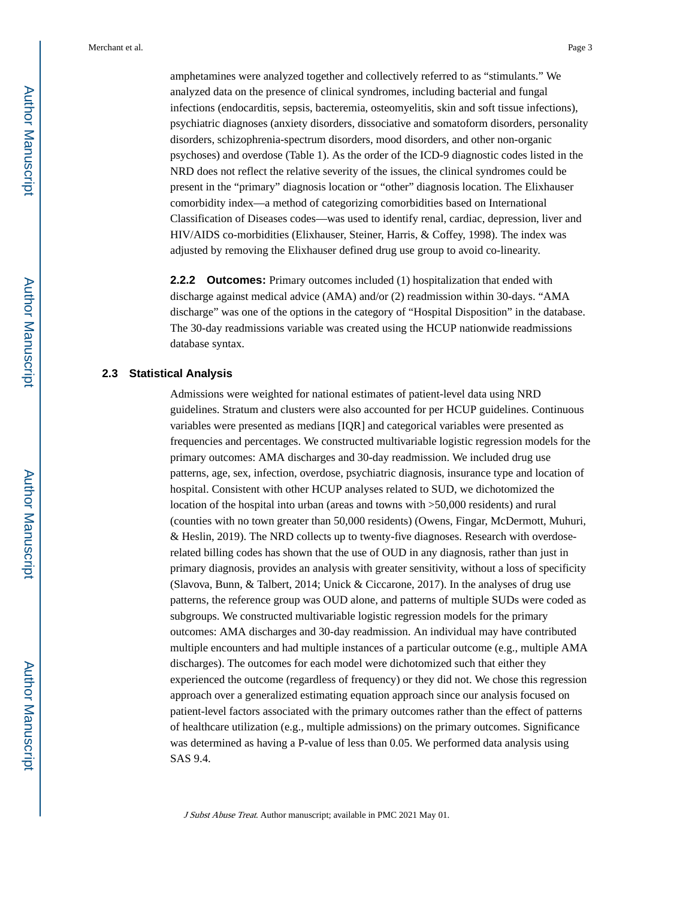amphetamines were analyzed together and collectively referred to as "stimulants." We analyzed data on the presence of clinical syndromes, including bacterial and fungal infections (endocarditis, sepsis, bacteremia, osteomyelitis, skin and soft tissue infections), psychiatric diagnoses (anxiety disorders, dissociative and somatoform disorders, personality disorders, schizophrenia-spectrum disorders, mood disorders, and other non-organic psychoses) and overdose (Table 1). As the order of the ICD-9 diagnostic codes listed in the NRD does not reflect the relative severity of the issues, the clinical syndromes could be present in the "primary" diagnosis location or "other" diagnosis location. The Elixhauser comorbidity index—a method of categorizing comorbidities based on International Classification of Diseases codes—was used to identify renal, cardiac, depression, liver and HIV/AIDS co-morbidities (Elixhauser, Steiner, Harris, & Coffey, 1998). The index was adjusted by removing the Elixhauser defined drug use group to avoid co-linearity.

**2.2.2 Outcomes:** Primary outcomes included (1) hospitalization that ended with discharge against medical advice (AMA) and/or (2) readmission within 30-days. "AMA discharge" was one of the options in the category of "Hospital Disposition" in the database. The 30-day readmissions variable was created using the HCUP nationwide readmissions database syntax.

#### **2.3 Statistical Analysis**

Admissions were weighted for national estimates of patient-level data using NRD guidelines. Stratum and clusters were also accounted for per HCUP guidelines. Continuous variables were presented as medians [IQR] and categorical variables were presented as frequencies and percentages. We constructed multivariable logistic regression models for the primary outcomes: AMA discharges and 30-day readmission. We included drug use patterns, age, sex, infection, overdose, psychiatric diagnosis, insurance type and location of hospital. Consistent with other HCUP analyses related to SUD, we dichotomized the location of the hospital into urban (areas and towns with >50,000 residents) and rural (counties with no town greater than 50,000 residents) (Owens, Fingar, McDermott, Muhuri, & Heslin, 2019). The NRD collects up to twenty-five diagnoses. Research with overdoserelated billing codes has shown that the use of OUD in any diagnosis, rather than just in primary diagnosis, provides an analysis with greater sensitivity, without a loss of specificity (Slavova, Bunn, & Talbert, 2014; Unick & Ciccarone, 2017). In the analyses of drug use patterns, the reference group was OUD alone, and patterns of multiple SUDs were coded as subgroups. We constructed multivariable logistic regression models for the primary outcomes: AMA discharges and 30-day readmission. An individual may have contributed multiple encounters and had multiple instances of a particular outcome (e.g., multiple AMA discharges). The outcomes for each model were dichotomized such that either they experienced the outcome (regardless of frequency) or they did not. We chose this regression approach over a generalized estimating equation approach since our analysis focused on patient-level factors associated with the primary outcomes rather than the effect of patterns of healthcare utilization (e.g., multiple admissions) on the primary outcomes. Significance was determined as having a P-value of less than 0.05. We performed data analysis using SAS 9.4.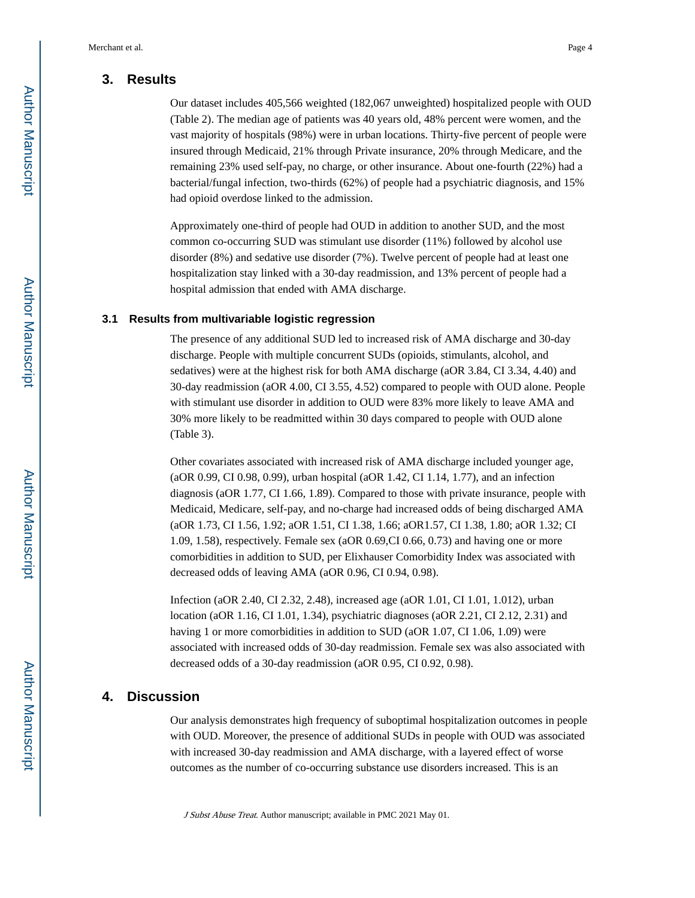# **3. Results**

Our dataset includes 405,566 weighted (182,067 unweighted) hospitalized people with OUD (Table 2). The median age of patients was 40 years old, 48% percent were women, and the vast majority of hospitals (98%) were in urban locations. Thirty-five percent of people were insured through Medicaid, 21% through Private insurance, 20% through Medicare, and the remaining 23% used self-pay, no charge, or other insurance. About one-fourth (22%) had a bacterial/fungal infection, two-thirds (62%) of people had a psychiatric diagnosis, and 15% had opioid overdose linked to the admission.

Approximately one-third of people had OUD in addition to another SUD, and the most common co-occurring SUD was stimulant use disorder (11%) followed by alcohol use disorder (8%) and sedative use disorder (7%). Twelve percent of people had at least one hospitalization stay linked with a 30-day readmission, and 13% percent of people had a hospital admission that ended with AMA discharge.

#### **3.1 Results from multivariable logistic regression**

The presence of any additional SUD led to increased risk of AMA discharge and 30-day discharge. People with multiple concurrent SUDs (opioids, stimulants, alcohol, and sedatives) were at the highest risk for both AMA discharge (aOR 3.84, CI 3.34, 4.40) and 30-day readmission (aOR 4.00, CI 3.55, 4.52) compared to people with OUD alone. People with stimulant use disorder in addition to OUD were 83% more likely to leave AMA and 30% more likely to be readmitted within 30 days compared to people with OUD alone (Table 3).

Other covariates associated with increased risk of AMA discharge included younger age, (aOR 0.99, CI 0.98, 0.99), urban hospital (aOR 1.42, CI 1.14, 1.77), and an infection diagnosis (aOR 1.77, CI 1.66, 1.89). Compared to those with private insurance, people with Medicaid, Medicare, self-pay, and no-charge had increased odds of being discharged AMA (aOR 1.73, CI 1.56, 1.92; aOR 1.51, CI 1.38, 1.66; aOR1.57, CI 1.38, 1.80; aOR 1.32; CI 1.09, 1.58), respectively. Female sex (aOR 0.69,CI 0.66, 0.73) and having one or more comorbidities in addition to SUD, per Elixhauser Comorbidity Index was associated with decreased odds of leaving AMA (aOR 0.96, CI 0.94, 0.98).

Infection (aOR 2.40, CI 2.32, 2.48), increased age (aOR 1.01, CI 1.01, 1.012), urban location (aOR 1.16, CI 1.01, 1.34), psychiatric diagnoses (aOR 2.21, CI 2.12, 2.31) and having 1 or more comorbidities in addition to SUD (aOR 1.07, CI 1.06, 1.09) were associated with increased odds of 30-day readmission. Female sex was also associated with decreased odds of a 30-day readmission (aOR 0.95, CI 0.92, 0.98).

# **4. Discussion**

Our analysis demonstrates high frequency of suboptimal hospitalization outcomes in people with OUD. Moreover, the presence of additional SUDs in people with OUD was associated with increased 30-day readmission and AMA discharge, with a layered effect of worse outcomes as the number of co-occurring substance use disorders increased. This is an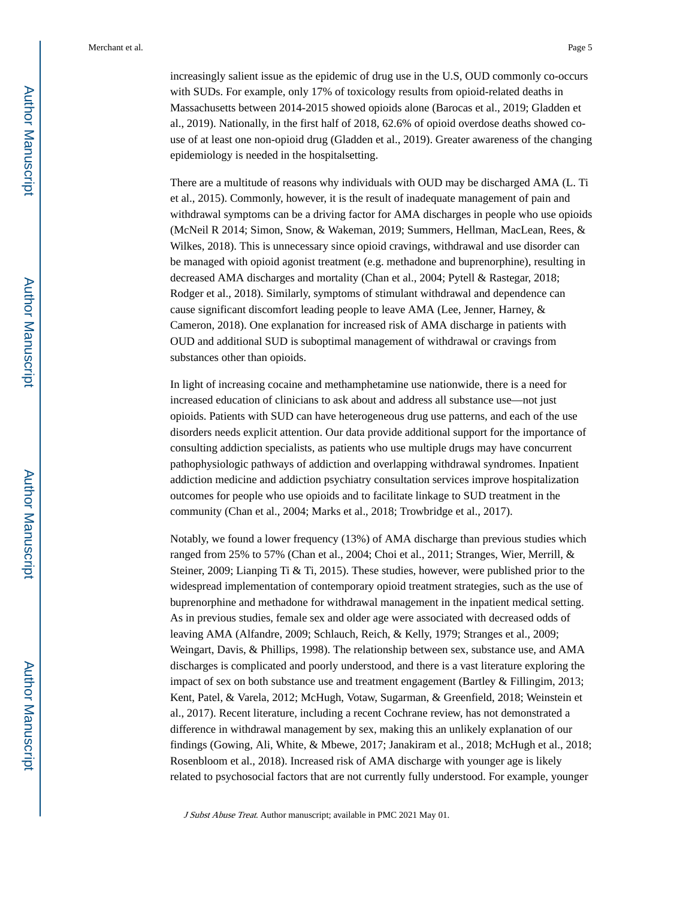Merchant et al. Page 5

There are a multitude of reasons why individuals with OUD may be discharged AMA (L. Ti et al., 2015). Commonly, however, it is the result of inadequate management of pain and withdrawal symptoms can be a driving factor for AMA discharges in people who use opioids (McNeil R 2014; Simon, Snow, & Wakeman, 2019; Summers, Hellman, MacLean, Rees, & Wilkes, 2018). This is unnecessary since opioid cravings, withdrawal and use disorder can be managed with opioid agonist treatment (e.g. methadone and buprenorphine), resulting in decreased AMA discharges and mortality (Chan et al., 2004; Pytell & Rastegar, 2018; Rodger et al., 2018). Similarly, symptoms of stimulant withdrawal and dependence can cause significant discomfort leading people to leave AMA (Lee, Jenner, Harney, & Cameron, 2018). One explanation for increased risk of AMA discharge in patients with OUD and additional SUD is suboptimal management of withdrawal or cravings from substances other than opioids.

In light of increasing cocaine and methamphetamine use nationwide, there is a need for increased education of clinicians to ask about and address all substance use—not just opioids. Patients with SUD can have heterogeneous drug use patterns, and each of the use disorders needs explicit attention. Our data provide additional support for the importance of consulting addiction specialists, as patients who use multiple drugs may have concurrent pathophysiologic pathways of addiction and overlapping withdrawal syndromes. Inpatient addiction medicine and addiction psychiatry consultation services improve hospitalization outcomes for people who use opioids and to facilitate linkage to SUD treatment in the community (Chan et al., 2004; Marks et al., 2018; Trowbridge et al., 2017).

Notably, we found a lower frequency (13%) of AMA discharge than previous studies which ranged from 25% to 57% (Chan et al., 2004; Choi et al., 2011; Stranges, Wier, Merrill, & Steiner, 2009; Lianping Ti & Ti, 2015). These studies, however, were published prior to the widespread implementation of contemporary opioid treatment strategies, such as the use of buprenorphine and methadone for withdrawal management in the inpatient medical setting. As in previous studies, female sex and older age were associated with decreased odds of leaving AMA (Alfandre, 2009; Schlauch, Reich, & Kelly, 1979; Stranges et al., 2009; Weingart, Davis, & Phillips, 1998). The relationship between sex, substance use, and AMA discharges is complicated and poorly understood, and there is a vast literature exploring the impact of sex on both substance use and treatment engagement (Bartley & Fillingim, 2013; Kent, Patel, & Varela, 2012; McHugh, Votaw, Sugarman, & Greenfield, 2018; Weinstein et al., 2017). Recent literature, including a recent Cochrane review, has not demonstrated a difference in withdrawal management by sex, making this an unlikely explanation of our findings (Gowing, Ali, White, & Mbewe, 2017; Janakiram et al., 2018; McHugh et al., 2018; Rosenbloom et al., 2018). Increased risk of AMA discharge with younger age is likely related to psychosocial factors that are not currently fully understood. For example, younger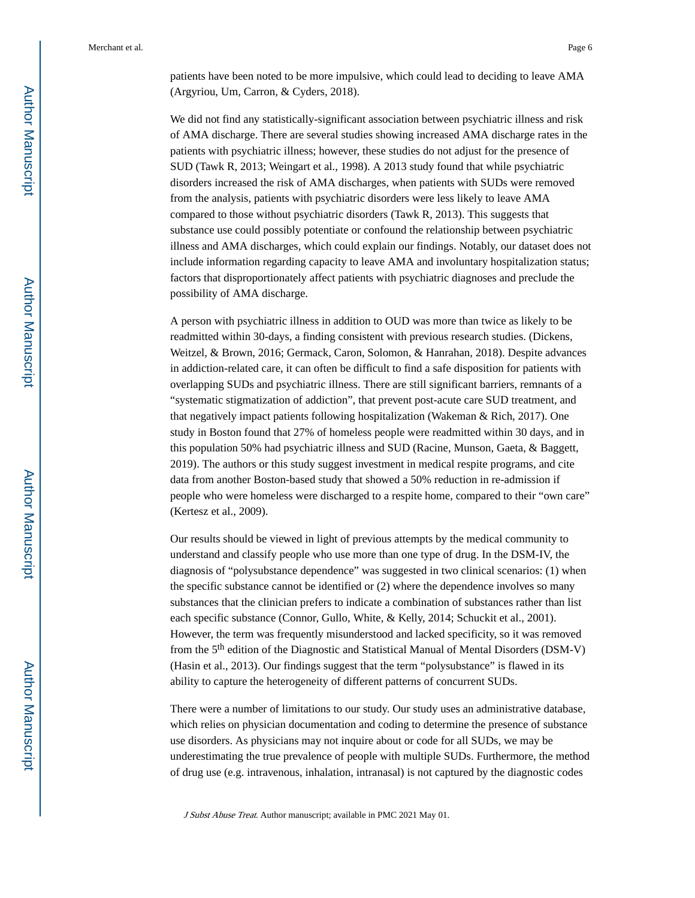Merchant et al. Page 6

patients have been noted to be more impulsive, which could lead to deciding to leave AMA (Argyriou, Um, Carron, & Cyders, 2018).

We did not find any statistically-significant association between psychiatric illness and risk of AMA discharge. There are several studies showing increased AMA discharge rates in the patients with psychiatric illness; however, these studies do not adjust for the presence of SUD (Tawk R, 2013; Weingart et al., 1998). A 2013 study found that while psychiatric disorders increased the risk of AMA discharges, when patients with SUDs were removed from the analysis, patients with psychiatric disorders were less likely to leave AMA compared to those without psychiatric disorders (Tawk R, 2013). This suggests that substance use could possibly potentiate or confound the relationship between psychiatric illness and AMA discharges, which could explain our findings. Notably, our dataset does not include information regarding capacity to leave AMA and involuntary hospitalization status; factors that disproportionately affect patients with psychiatric diagnoses and preclude the possibility of AMA discharge.

A person with psychiatric illness in addition to OUD was more than twice as likely to be readmitted within 30-days, a finding consistent with previous research studies. (Dickens, Weitzel, & Brown, 2016; Germack, Caron, Solomon, & Hanrahan, 2018). Despite advances in addiction-related care, it can often be difficult to find a safe disposition for patients with overlapping SUDs and psychiatric illness. There are still significant barriers, remnants of a "systematic stigmatization of addiction", that prevent post-acute care SUD treatment, and that negatively impact patients following hospitalization (Wakeman & Rich, 2017). One study in Boston found that 27% of homeless people were readmitted within 30 days, and in this population 50% had psychiatric illness and SUD (Racine, Munson, Gaeta, & Baggett, 2019). The authors or this study suggest investment in medical respite programs, and cite data from another Boston-based study that showed a 50% reduction in re-admission if people who were homeless were discharged to a respite home, compared to their "own care" (Kertesz et al., 2009).

Our results should be viewed in light of previous attempts by the medical community to understand and classify people who use more than one type of drug. In the DSM-IV, the diagnosis of "polysubstance dependence" was suggested in two clinical scenarios: (1) when the specific substance cannot be identified or (2) where the dependence involves so many substances that the clinician prefers to indicate a combination of substances rather than list each specific substance (Connor, Gullo, White, & Kelly, 2014; Schuckit et al., 2001). However, the term was frequently misunderstood and lacked specificity, so it was removed from the 5th edition of the Diagnostic and Statistical Manual of Mental Disorders (DSM-V) (Hasin et al., 2013). Our findings suggest that the term "polysubstance" is flawed in its ability to capture the heterogeneity of different patterns of concurrent SUDs.

There were a number of limitations to our study. Our study uses an administrative database, which relies on physician documentation and coding to determine the presence of substance use disorders. As physicians may not inquire about or code for all SUDs, we may be underestimating the true prevalence of people with multiple SUDs. Furthermore, the method of drug use (e.g. intravenous, inhalation, intranasal) is not captured by the diagnostic codes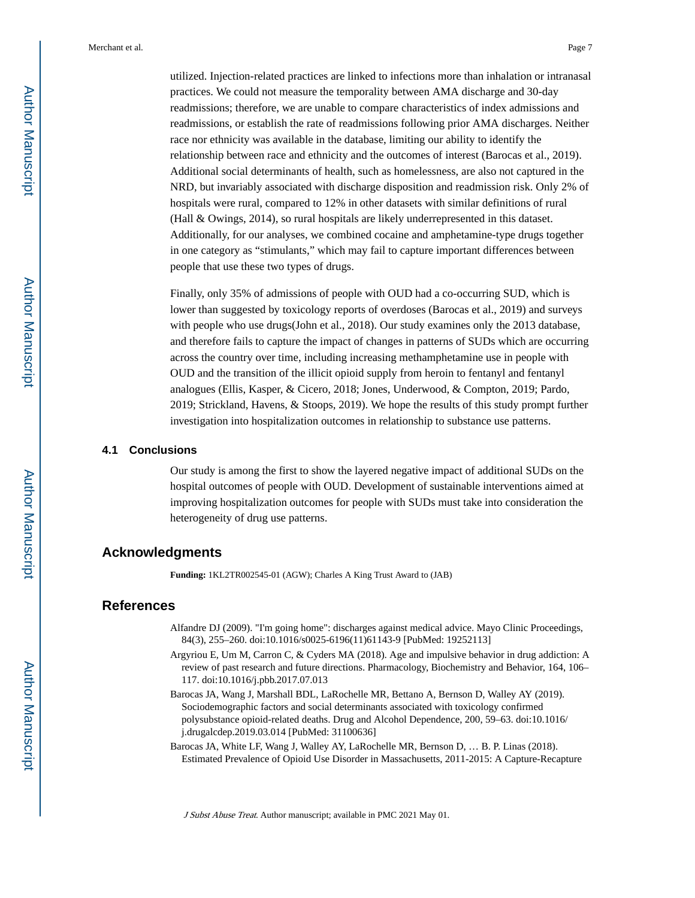utilized. Injection-related practices are linked to infections more than inhalation or intranasal practices. We could not measure the temporality between AMA discharge and 30-day readmissions; therefore, we are unable to compare characteristics of index admissions and readmissions, or establish the rate of readmissions following prior AMA discharges. Neither race nor ethnicity was available in the database, limiting our ability to identify the relationship between race and ethnicity and the outcomes of interest (Barocas et al., 2019). Additional social determinants of health, such as homelessness, are also not captured in the NRD, but invariably associated with discharge disposition and readmission risk. Only 2% of hospitals were rural, compared to 12% in other datasets with similar definitions of rural (Hall & Owings, 2014), so rural hospitals are likely underrepresented in this dataset. Additionally, for our analyses, we combined cocaine and amphetamine-type drugs together in one category as "stimulants," which may fail to capture important differences between people that use these two types of drugs.

Finally, only 35% of admissions of people with OUD had a co-occurring SUD, which is lower than suggested by toxicology reports of overdoses (Barocas et al., 2019) and surveys with people who use drugs(John et al., 2018). Our study examines only the 2013 database, and therefore fails to capture the impact of changes in patterns of SUDs which are occurring across the country over time, including increasing methamphetamine use in people with OUD and the transition of the illicit opioid supply from heroin to fentanyl and fentanyl analogues (Ellis, Kasper, & Cicero, 2018; Jones, Underwood, & Compton, 2019; Pardo, 2019; Strickland, Havens, & Stoops, 2019). We hope the results of this study prompt further investigation into hospitalization outcomes in relationship to substance use patterns.

#### **4.1 Conclusions**

Our study is among the first to show the layered negative impact of additional SUDs on the hospital outcomes of people with OUD. Development of sustainable interventions aimed at improving hospitalization outcomes for people with SUDs must take into consideration the heterogeneity of drug use patterns.

## **Acknowledgments**

**Funding:** 1KL2TR002545-01 (AGW); Charles A King Trust Award to (JAB)

# **References**

- Alfandre DJ (2009). "I'm going home": discharges against medical advice. Mayo Clinic Proceedings, 84(3), 255–260. doi:10.1016/s0025-6196(11)61143-9 [PubMed: 19252113]
- Argyriou E, Um M, Carron C, & Cyders MA (2018). Age and impulsive behavior in drug addiction: A review of past research and future directions. Pharmacology, Biochemistry and Behavior, 164, 106– 117. doi:10.1016/j.pbb.2017.07.013
- Barocas JA, Wang J, Marshall BDL, LaRochelle MR, Bettano A, Bernson D, Walley AY (2019). Sociodemographic factors and social determinants associated with toxicology confirmed polysubstance opioid-related deaths. Drug and Alcohol Dependence, 200, 59–63. doi:10.1016/ j.drugalcdep.2019.03.014 [PubMed: 31100636]
- Barocas JA, White LF, Wang J, Walley AY, LaRochelle MR, Bernson D, … B. P. Linas (2018). Estimated Prevalence of Opioid Use Disorder in Massachusetts, 2011-2015: A Capture-Recapture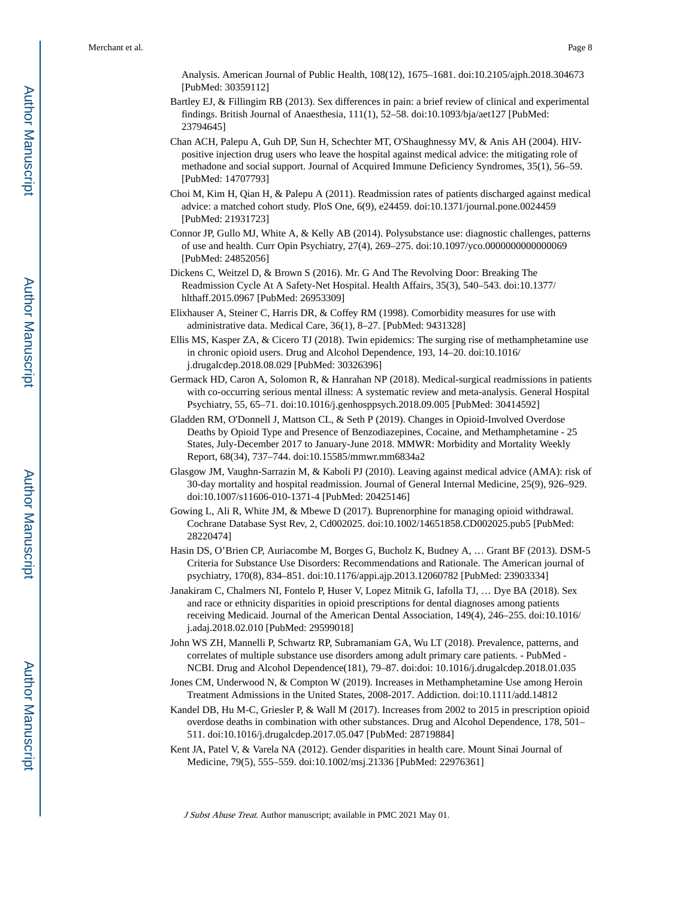Analysis. American Journal of Public Health, 108(12), 1675–1681. doi:10.2105/ajph.2018.304673 [PubMed: 30359112]

- Bartley EJ, & Fillingim RB (2013). Sex differences in pain: a brief review of clinical and experimental findings. British Journal of Anaesthesia, 111(1), 52–58. doi:10.1093/bja/aet127 [PubMed: 23794645]
- Chan ACH, Palepu A, Guh DP, Sun H, Schechter MT, O'Shaughnessy MV, & Anis AH (2004). HIVpositive injection drug users who leave the hospital against medical advice: the mitigating role of methadone and social support. Journal of Acquired Immune Deficiency Syndromes, 35(1), 56–59. [PubMed: 14707793]
- Choi M, Kim H, Qian H, & Palepu A (2011). Readmission rates of patients discharged against medical advice: a matched cohort study. PloS One, 6(9), e24459. doi:10.1371/journal.pone.0024459 [PubMed: 21931723]
- Connor JP, Gullo MJ, White A, & Kelly AB (2014). Polysubstance use: diagnostic challenges, patterns of use and health. Curr Opin Psychiatry, 27(4), 269–275. doi:10.1097/yco.0000000000000069 [PubMed: 24852056]
- Dickens C, Weitzel D, & Brown S (2016). Mr. G And The Revolving Door: Breaking The Readmission Cycle At A Safety-Net Hospital. Health Affairs, 35(3), 540–543. doi:10.1377/ hlthaff.2015.0967 [PubMed: 26953309]
- Elixhauser A, Steiner C, Harris DR, & Coffey RM (1998). Comorbidity measures for use with administrative data. Medical Care, 36(1), 8–27. [PubMed: 9431328]
- Ellis MS, Kasper ZA, & Cicero TJ (2018). Twin epidemics: The surging rise of methamphetamine use in chronic opioid users. Drug and Alcohol Dependence, 193, 14–20. doi:10.1016/ j.drugalcdep.2018.08.029 [PubMed: 30326396]
- Germack HD, Caron A, Solomon R, & Hanrahan NP (2018). Medical-surgical readmissions in patients with co-occurring serious mental illness: A systematic review and meta-analysis. General Hospital Psychiatry, 55, 65–71. doi:10.1016/j.genhosppsych.2018.09.005 [PubMed: 30414592]
- Gladden RM, O'Donnell J, Mattson CL, & Seth P (2019). Changes in Opioid-Involved Overdose Deaths by Opioid Type and Presence of Benzodiazepines, Cocaine, and Methamphetamine - 25 States, July-December 2017 to January-June 2018. MMWR: Morbidity and Mortality Weekly Report, 68(34), 737–744. doi:10.15585/mmwr.mm6834a2
- Glasgow JM, Vaughn-Sarrazin M, & Kaboli PJ (2010). Leaving against medical advice (AMA): risk of 30-day mortality and hospital readmission. Journal of General Internal Medicine, 25(9), 926–929. doi:10.1007/s11606-010-1371-4 [PubMed: 20425146]
- Gowing L, Ali R, White JM, & Mbewe D (2017). Buprenorphine for managing opioid withdrawal. Cochrane Database Syst Rev, 2, Cd002025. doi:10.1002/14651858.CD002025.pub5 [PubMed: 28220474]
- Hasin DS, O'Brien CP, Auriacombe M, Borges G, Bucholz K, Budney A, … Grant BF (2013). DSM-5 Criteria for Substance Use Disorders: Recommendations and Rationale. The American journal of psychiatry, 170(8), 834–851. doi:10.1176/appi.ajp.2013.12060782 [PubMed: 23903334]
- Janakiram C, Chalmers NI, Fontelo P, Huser V, Lopez Mitnik G, Iafolla TJ, … Dye BA (2018). Sex and race or ethnicity disparities in opioid prescriptions for dental diagnoses among patients receiving Medicaid. Journal of the American Dental Association, 149(4), 246–255. doi:10.1016/ j.adaj.2018.02.010 [PubMed: 29599018]
- John WS ZH, Mannelli P, Schwartz RP, Subramaniam GA, Wu LT (2018). Prevalence, patterns, and correlates of multiple substance use disorders among adult primary care patients. - PubMed - NCBI. Drug and Alcohol Dependence(181), 79–87. doi:doi: 10.1016/j.drugalcdep.2018.01.035
- Jones CM, Underwood N, & Compton W (2019). Increases in Methamphetamine Use among Heroin Treatment Admissions in the United States, 2008-2017. Addiction. doi:10.1111/add.14812
- Kandel DB, Hu M-C, Griesler P, & Wall M (2017). Increases from 2002 to 2015 in prescription opioid overdose deaths in combination with other substances. Drug and Alcohol Dependence, 178, 501– 511. doi:10.1016/j.drugalcdep.2017.05.047 [PubMed: 28719884]
- Kent JA, Patel V, & Varela NA (2012). Gender disparities in health care. Mount Sinai Journal of Medicine, 79(5), 555–559. doi:10.1002/msj.21336 [PubMed: 22976361]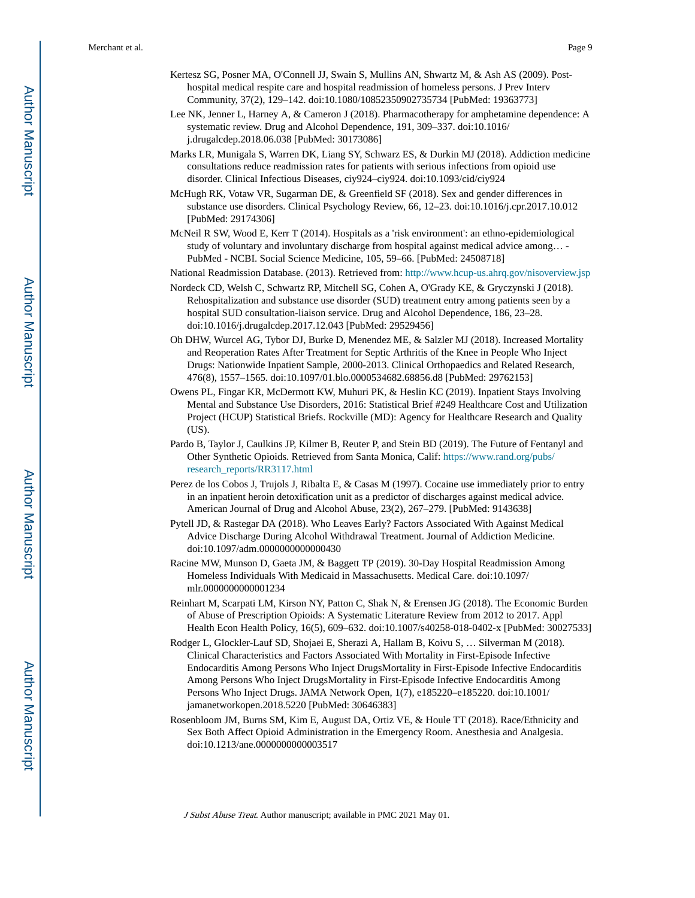- Kertesz SG, Posner MA, O'Connell JJ, Swain S, Mullins AN, Shwartz M, & Ash AS (2009). Posthospital medical respite care and hospital readmission of homeless persons. J Prev Interv Community, 37(2), 129–142. doi:10.1080/10852350902735734 [PubMed: 19363773]
- Lee NK, Jenner L, Harney A, & Cameron J (2018). Pharmacotherapy for amphetamine dependence: A systematic review. Drug and Alcohol Dependence, 191, 309–337. doi:10.1016/ j.drugalcdep.2018.06.038 [PubMed: 30173086]
- Marks LR, Munigala S, Warren DK, Liang SY, Schwarz ES, & Durkin MJ (2018). Addiction medicine consultations reduce readmission rates for patients with serious infections from opioid use disorder. Clinical Infectious Diseases, ciy924–ciy924. doi:10.1093/cid/ciy924
- McHugh RK, Votaw VR, Sugarman DE, & Greenfield SF (2018). Sex and gender differences in substance use disorders. Clinical Psychology Review, 66, 12–23. doi:10.1016/j.cpr.2017.10.012 [PubMed: 29174306]
- McNeil R SW, Wood E, Kerr T (2014). Hospitals as a 'risk environment': an ethno-epidemiological study of voluntary and involuntary discharge from hospital against medical advice among… - PubMed - NCBI. Social Science Medicine, 105, 59–66. [PubMed: 24508718]

National Readmission Database. (2013). Retrieved from:<http://www.hcup-us.ahrq.gov/nisoverview.jsp>

- Nordeck CD, Welsh C, Schwartz RP, Mitchell SG, Cohen A, O'Grady KE, & Gryczynski J (2018). Rehospitalization and substance use disorder (SUD) treatment entry among patients seen by a hospital SUD consultation-liaison service. Drug and Alcohol Dependence, 186, 23–28. doi:10.1016/j.drugalcdep.2017.12.043 [PubMed: 29529456]
- Oh DHW, Wurcel AG, Tybor DJ, Burke D, Menendez ME, & Salzler MJ (2018). Increased Mortality and Reoperation Rates After Treatment for Septic Arthritis of the Knee in People Who Inject Drugs: Nationwide Inpatient Sample, 2000-2013. Clinical Orthopaedics and Related Research, 476(8), 1557–1565. doi:10.1097/01.blo.0000534682.68856.d8 [PubMed: 29762153]
- Owens PL, Fingar KR, McDermott KW, Muhuri PK, & Heslin KC (2019). Inpatient Stays Involving Mental and Substance Use Disorders, 2016: Statistical Brief #249 Healthcare Cost and Utilization Project (HCUP) Statistical Briefs. Rockville (MD): Agency for Healthcare Research and Quality (US).
- Pardo B, Taylor J, Caulkins JP, Kilmer B, Reuter P, and Stein BD (2019). The Future of Fentanyl and Other Synthetic Opioids. Retrieved from Santa Monica, Calif: [https://www.rand.org/pubs/](https://www.rand.org/pubs/research_reports/RR3117.html) [research\\_reports/RR3117.html](https://www.rand.org/pubs/research_reports/RR3117.html)
- Perez de los Cobos J, Trujols J, Ribalta E, & Casas M (1997). Cocaine use immediately prior to entry in an inpatient heroin detoxification unit as a predictor of discharges against medical advice. American Journal of Drug and Alcohol Abuse, 23(2), 267–279. [PubMed: 9143638]
- Pytell JD, & Rastegar DA (2018). Who Leaves Early? Factors Associated With Against Medical Advice Discharge During Alcohol Withdrawal Treatment. Journal of Addiction Medicine. doi:10.1097/adm.0000000000000430
- Racine MW, Munson D, Gaeta JM, & Baggett TP (2019). 30-Day Hospital Readmission Among Homeless Individuals With Medicaid in Massachusetts. Medical Care. doi:10.1097/ mlr.0000000000001234
- Reinhart M, Scarpati LM, Kirson NY, Patton C, Shak N, & Erensen JG (2018). The Economic Burden of Abuse of Prescription Opioids: A Systematic Literature Review from 2012 to 2017. Appl Health Econ Health Policy, 16(5), 609–632. doi:10.1007/s40258-018-0402-x [PubMed: 30027533]
- Rodger L, Glockler-Lauf SD, Shojaei E, Sherazi A, Hallam B, Koivu S, … Silverman M (2018). Clinical Characteristics and Factors Associated With Mortality in First-Episode Infective Endocarditis Among Persons Who Inject DrugsMortality in First-Episode Infective Endocarditis Among Persons Who Inject DrugsMortality in First-Episode Infective Endocarditis Among Persons Who Inject Drugs. JAMA Network Open, 1(7), e185220–e185220. doi:10.1001/ jamanetworkopen.2018.5220 [PubMed: 30646383]
- Rosenbloom JM, Burns SM, Kim E, August DA, Ortiz VE, & Houle TT (2018). Race/Ethnicity and Sex Both Affect Opioid Administration in the Emergency Room. Anesthesia and Analgesia. doi:10.1213/ane.0000000000003517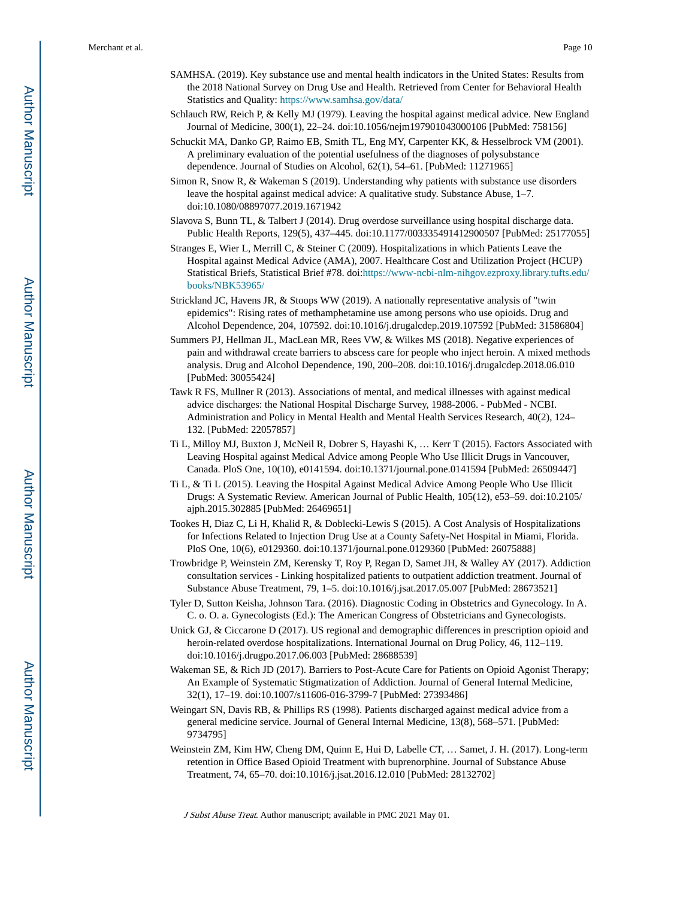- SAMHSA. (2019). Key substance use and mental health indicators in the United States: Results from the 2018 National Survey on Drug Use and Health. Retrieved from Center for Behavioral Health Statistics and Quality: <https://www.samhsa.gov/data/>
- Schlauch RW, Reich P, & Kelly MJ (1979). Leaving the hospital against medical advice. New England Journal of Medicine, 300(1), 22–24. doi:10.1056/nejm197901043000106 [PubMed: 758156]
- Schuckit MA, Danko GP, Raimo EB, Smith TL, Eng MY, Carpenter KK, & Hesselbrock VM (2001). A preliminary evaluation of the potential usefulness of the diagnoses of polysubstance dependence. Journal of Studies on Alcohol, 62(1), 54–61. [PubMed: 11271965]
- Simon R, Snow R, & Wakeman S (2019). Understanding why patients with substance use disorders leave the hospital against medical advice: A qualitative study. Substance Abuse, 1–7. doi:10.1080/08897077.2019.1671942
- Slavova S, Bunn TL, & Talbert J (2014). Drug overdose surveillance using hospital discharge data. Public Health Reports, 129(5), 437–445. doi:10.1177/003335491412900507 [PubMed: 25177055]
- Stranges E, Wier L, Merrill C, & Steiner C (2009). Hospitalizations in which Patients Leave the Hospital against Medical Advice (AMA), 2007. Healthcare Cost and Utilization Project (HCUP) Statistical Briefs, Statistical Brief #78. doi:[https://www-ncbi-nlm-nihgov.ezproxy.library.tufts.edu/](https://www-ncbi-nlm-nihgov.ezproxy.library.tufts.edu/books/NBK53965/) [books/NBK53965/](https://www-ncbi-nlm-nihgov.ezproxy.library.tufts.edu/books/NBK53965/)
- Strickland JC, Havens JR, & Stoops WW (2019). A nationally representative analysis of "twin epidemics": Rising rates of methamphetamine use among persons who use opioids. Drug and Alcohol Dependence, 204, 107592. doi:10.1016/j.drugalcdep.2019.107592 [PubMed: 31586804]
- Summers PJ, Hellman JL, MacLean MR, Rees VW, & Wilkes MS (2018). Negative experiences of pain and withdrawal create barriers to abscess care for people who inject heroin. A mixed methods analysis. Drug and Alcohol Dependence, 190, 200–208. doi:10.1016/j.drugalcdep.2018.06.010 [PubMed: 30055424]
- Tawk R FS, Mullner R (2013). Associations of mental, and medical illnesses with against medical advice discharges: the National Hospital Discharge Survey, 1988-2006. - PubMed - NCBI. Administration and Policy in Mental Health and Mental Health Services Research, 40(2), 124– 132. [PubMed: 22057857]
- Ti L, Milloy MJ, Buxton J, McNeil R, Dobrer S, Hayashi K, … Kerr T (2015). Factors Associated with Leaving Hospital against Medical Advice among People Who Use Illicit Drugs in Vancouver, Canada. PloS One, 10(10), e0141594. doi:10.1371/journal.pone.0141594 [PubMed: 26509447]
- Ti L, & Ti L (2015). Leaving the Hospital Against Medical Advice Among People Who Use Illicit Drugs: A Systematic Review. American Journal of Public Health, 105(12), e53–59. doi:10.2105/ ajph.2015.302885 [PubMed: 26469651]
- Tookes H, Diaz C, Li H, Khalid R, & Doblecki-Lewis S (2015). A Cost Analysis of Hospitalizations for Infections Related to Injection Drug Use at a County Safety-Net Hospital in Miami, Florida. PloS One, 10(6), e0129360. doi:10.1371/journal.pone.0129360 [PubMed: 26075888]
- Trowbridge P, Weinstein ZM, Kerensky T, Roy P, Regan D, Samet JH, & Walley AY (2017). Addiction consultation services - Linking hospitalized patients to outpatient addiction treatment. Journal of Substance Abuse Treatment, 79, 1–5. doi:10.1016/j.jsat.2017.05.007 [PubMed: 28673521]
- Tyler D, Sutton Keisha, Johnson Tara. (2016). Diagnostic Coding in Obstetrics and Gynecology. In A. C. o. O. a. Gynecologists (Ed.): The American Congress of Obstetricians and Gynecologists.
- Unick GJ, & Ciccarone D (2017). US regional and demographic differences in prescription opioid and heroin-related overdose hospitalizations. International Journal on Drug Policy, 46, 112–119. doi:10.1016/j.drugpo.2017.06.003 [PubMed: 28688539]
- Wakeman SE, & Rich JD (2017). Barriers to Post-Acute Care for Patients on Opioid Agonist Therapy; An Example of Systematic Stigmatization of Addiction. Journal of General Internal Medicine, 32(1), 17–19. doi:10.1007/s11606-016-3799-7 [PubMed: 27393486]
- Weingart SN, Davis RB, & Phillips RS (1998). Patients discharged against medical advice from a general medicine service. Journal of General Internal Medicine, 13(8), 568–571. [PubMed: 9734795]
- Weinstein ZM, Kim HW, Cheng DM, Quinn E, Hui D, Labelle CT, … Samet, J. H. (2017). Long-term retention in Office Based Opioid Treatment with buprenorphine. Journal of Substance Abuse Treatment, 74, 65–70. doi:10.1016/j.jsat.2016.12.010 [PubMed: 28132702]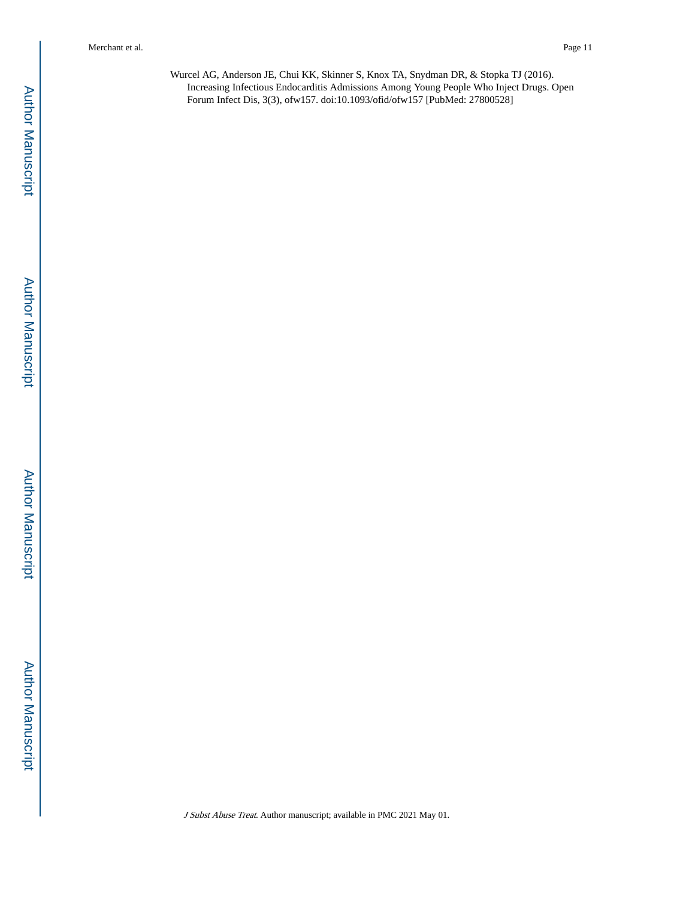Merchant et al. Page 11

Wurcel AG, Anderson JE, Chui KK, Skinner S, Knox TA, Snydman DR, & Stopka TJ (2016). Increasing Infectious Endocarditis Admissions Among Young People Who Inject Drugs. Open Forum Infect Dis, 3(3), ofw157. doi:10.1093/ofid/ofw157 [PubMed: 27800528]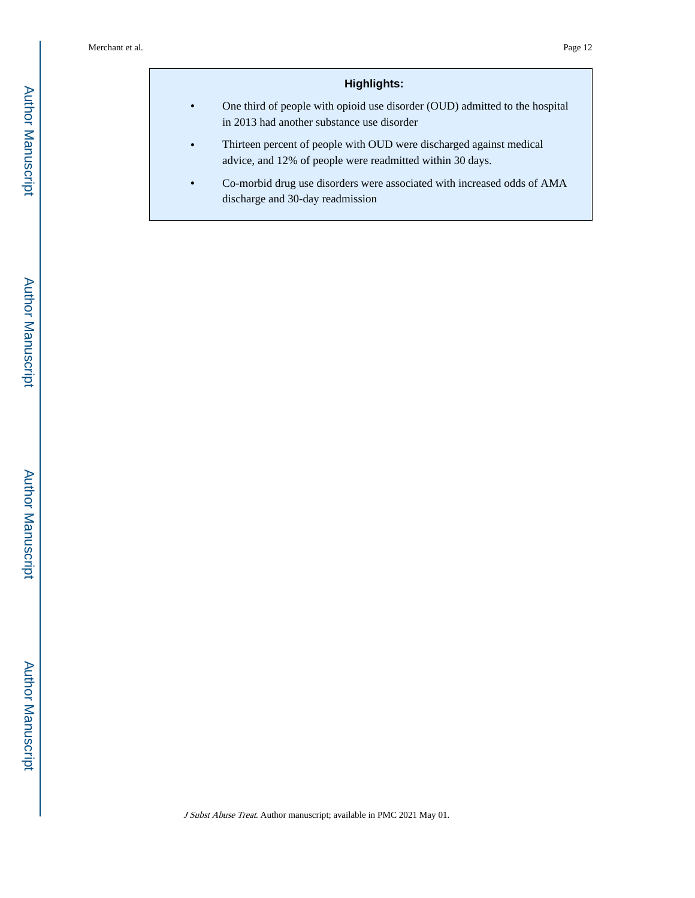## **Highlights:**

- **•** One third of people with opioid use disorder (OUD) admitted to the hospital in 2013 had another substance use disorder
- **•** Thirteen percent of people with OUD were discharged against medical advice, and 12% of people were readmitted within 30 days.
- **•** Co-morbid drug use disorders were associated with increased odds of AMA discharge and 30-day readmission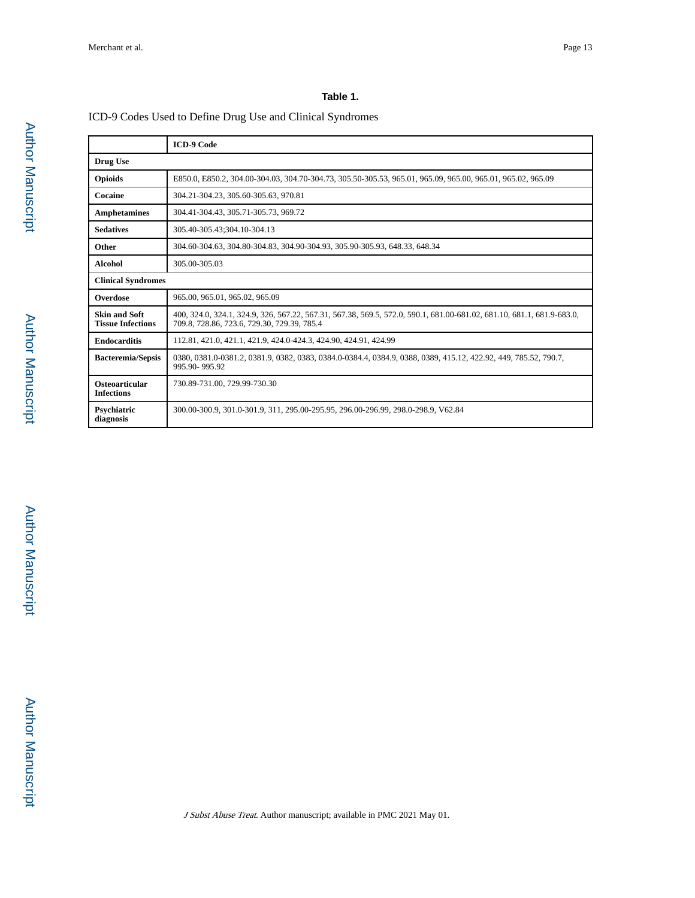## **Table 1.**

## ICD-9 Codes Used to Define Drug Use and Clinical Syndromes

|                                                  | <b>ICD-9 Code</b>                                                                                                                                                     |  |  |  |
|--------------------------------------------------|-----------------------------------------------------------------------------------------------------------------------------------------------------------------------|--|--|--|
| Drug Use                                         |                                                                                                                                                                       |  |  |  |
| <b>Opioids</b>                                   | E850.0, E850.2, 304.00-304.03, 304.70-304.73, 305.50-305.53, 965.01, 965.09, 965.00, 965.01, 965.02, 965.09                                                           |  |  |  |
| Cocaine                                          | 304.21-304.23, 305.60-305.63, 970.81                                                                                                                                  |  |  |  |
| <b>Amphetamines</b>                              | 304.41-304.43, 305.71-305.73, 969.72                                                                                                                                  |  |  |  |
| <b>Sedatives</b>                                 | 305.40-305.43;304.10-304.13                                                                                                                                           |  |  |  |
| <b>Other</b>                                     | 304.60-304.63, 304.80-304.83, 304.90-304.93, 305.90-305.93, 648.33, 648.34                                                                                            |  |  |  |
| <b>Alcohol</b>                                   | 305.00-305.03                                                                                                                                                         |  |  |  |
| <b>Clinical Syndromes</b>                        |                                                                                                                                                                       |  |  |  |
| Overdose                                         | 965.00, 965.01, 965.02, 965.09                                                                                                                                        |  |  |  |
| <b>Skin and Soft</b><br><b>Tissue Infections</b> | 400, 324.0, 324.1, 324.9, 326, 567.22, 567.31, 567.38, 569.5, 572.0, 590.1, 681.00-681.02, 681.10, 681.1, 681.9-683.0,<br>709.8, 728.86, 723.6, 729.30, 729.39, 785.4 |  |  |  |
| <b>Endocarditis</b>                              | 112.81, 421.0, 421.1, 421.9, 424.0-424.3, 424.90, 424.91, 424.99                                                                                                      |  |  |  |
| <b>Bacteremia/Sepsis</b>                         | 0380, 0381.0-0381.2, 0381.9, 0382, 0383, 0384.0-0384.4, 0384.9, 0388, 0389, 415.12, 422.92, 449, 785.52, 790.7,<br>995.90-995.92                                      |  |  |  |
| Osteoarticular<br><b>Infections</b>              | 730.89-731.00.729.99-730.30                                                                                                                                           |  |  |  |
| Psychiatric<br>diagnosis                         | 300.00-300.9, 301.0-301.9, 311, 295.00-295.95, 296.00-296.99, 298.0-298.9, V62.84                                                                                     |  |  |  |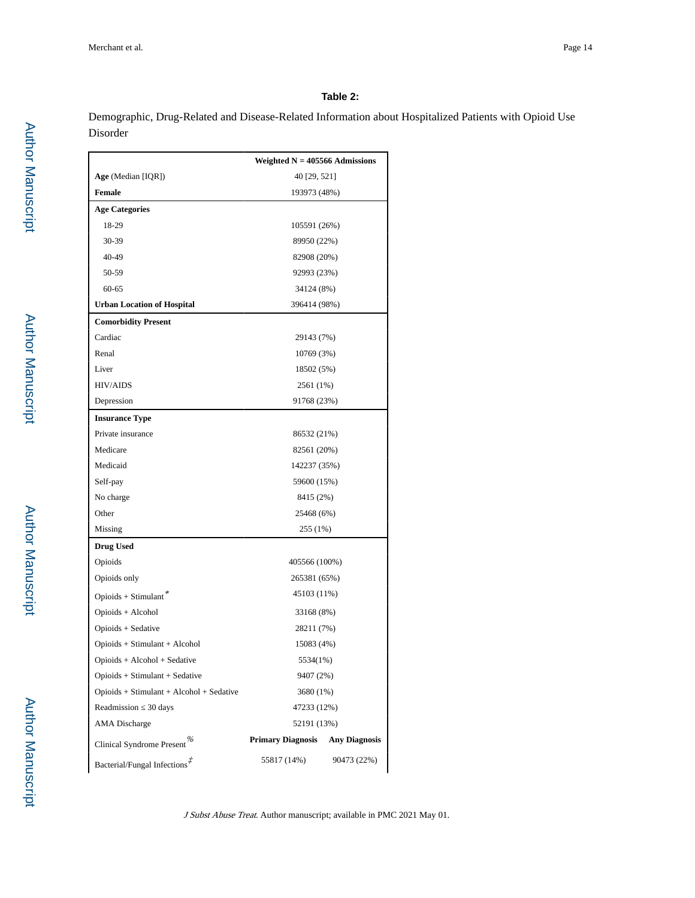# **Table 2:**

Demographic, Drug-Related and Disease-Related Information about Hospitalized Patients with Opioid Use Disorder

|                                           | Weighted $N = 405566$ Admissions |                      |  |  |  |
|-------------------------------------------|----------------------------------|----------------------|--|--|--|
| Age (Median [IQR])                        | 40 [29, 521]                     |                      |  |  |  |
| <b>Female</b>                             | 193973 (48%)                     |                      |  |  |  |
| <b>Age Categories</b>                     |                                  |                      |  |  |  |
| 18-29                                     | 105591 (26%)                     |                      |  |  |  |
| 30-39                                     | 89950 (22%)                      |                      |  |  |  |
| 40-49                                     | 82908 (20%)                      |                      |  |  |  |
| 50-59                                     | 92993 (23%)                      |                      |  |  |  |
| $60 - 65$                                 | 34124 (8%)                       |                      |  |  |  |
| <b>Urban Location of Hospital</b>         | 396414 (98%)                     |                      |  |  |  |
| <b>Comorbidity Present</b>                |                                  |                      |  |  |  |
| Cardiac                                   | 29143 (7%)                       |                      |  |  |  |
| Renal                                     | 10769 (3%)                       |                      |  |  |  |
| Liver                                     | 18502 (5%)                       |                      |  |  |  |
| <b>HIV/AIDS</b>                           | 2561 (1%)                        |                      |  |  |  |
| Depression                                | 91768 (23%)                      |                      |  |  |  |
| <b>Insurance Type</b>                     |                                  |                      |  |  |  |
| Private insurance                         | 86532 (21%)                      |                      |  |  |  |
| Medicare                                  | 82561 (20%)                      |                      |  |  |  |
| Medicaid                                  | 142237 (35%)                     |                      |  |  |  |
| Self-pay                                  | 59600 (15%)                      |                      |  |  |  |
| No charge                                 |                                  | 8415 (2%)            |  |  |  |
| Other                                     | 25468 (6%)                       |                      |  |  |  |
| Missing                                   | 255 (1%)                         |                      |  |  |  |
| <b>Drug Used</b>                          |                                  |                      |  |  |  |
| Opioids                                   | 405566 (100%)                    |                      |  |  |  |
| Opioids only                              | 265381 (65%)                     |                      |  |  |  |
| 45103 (11%)<br>Opioids + Stimulant*       |                                  |                      |  |  |  |
| Opioids + Alcohol                         | 33168 (8%)                       |                      |  |  |  |
| Opioids + Sedative                        | 28211 (7%)                       |                      |  |  |  |
| Opioids + Stimulant + Alcohol             | 15083 (4%)                       |                      |  |  |  |
| Opioids + Alcohol + Sedative              | 5534(1%)                         |                      |  |  |  |
| Opioids + Stimulant + Sedative            | 9407 (2%)                        |                      |  |  |  |
| $Opiods + Stimulant + Alcohol + Sedative$ | 3680 (1%)                        |                      |  |  |  |
| Readmission 30 days                       | 47233 (12%)                      |                      |  |  |  |
| AMA Discharge                             | 52191 (13%)                      |                      |  |  |  |
| Clinical Syndrome Present <sup>%</sup>    | <b>Primary Diagnosis</b>         | <b>Any Diagnosis</b> |  |  |  |
| Bacterial/Fungal Infections <sup>#</sup>  | 55817 (14%)                      | 90473 (22%)          |  |  |  |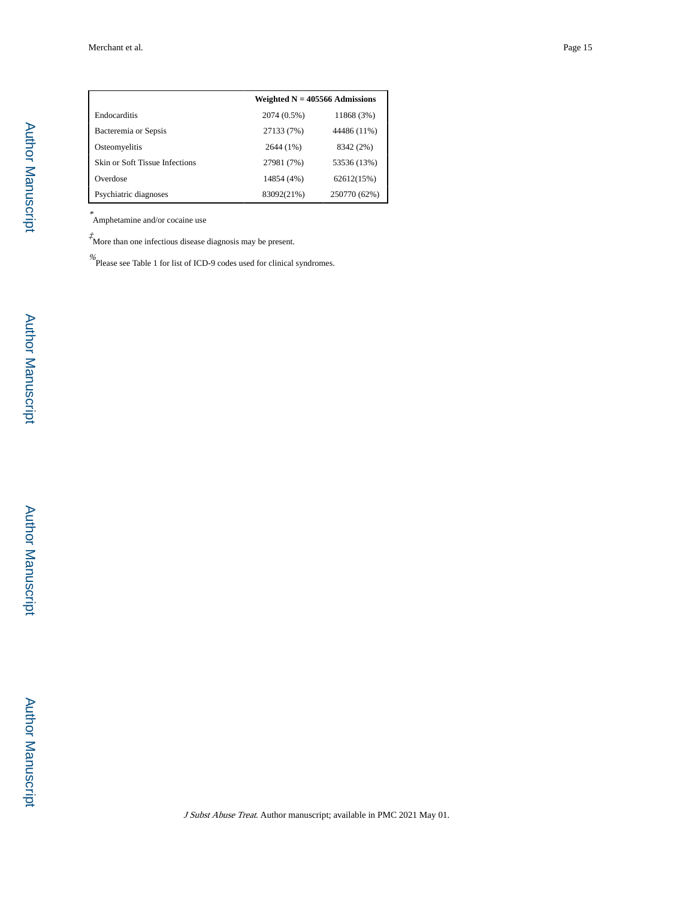|                                | Weighted $N = 405566$ Admissions |              |
|--------------------------------|----------------------------------|--------------|
| Endocarditis                   | 2074 (0.5%)                      | 11868 (3%)   |
| Bacteremia or Sepsis           | 27133 (7%)                       | 44486 (11%)  |
| Osteomyelitis                  | 2644 (1%)                        | 8342 (2%)    |
| Skin or Soft Tissue Infections | 27981 (7%)                       | 53536 (13%)  |
| Overdose                       | 14854 (4%)                       | 62612(15%)   |
| Psychiatric diagnoses          | 83092(21%)                       | 250770 (62%) |

\* Amphetamine and/or cocaine use

 $\boldsymbol{\vec{\tau}}$  More than one infectious disease diagnosis may be present.

% Please see Table 1 for list of ICD-9 codes used for clinical syndromes.